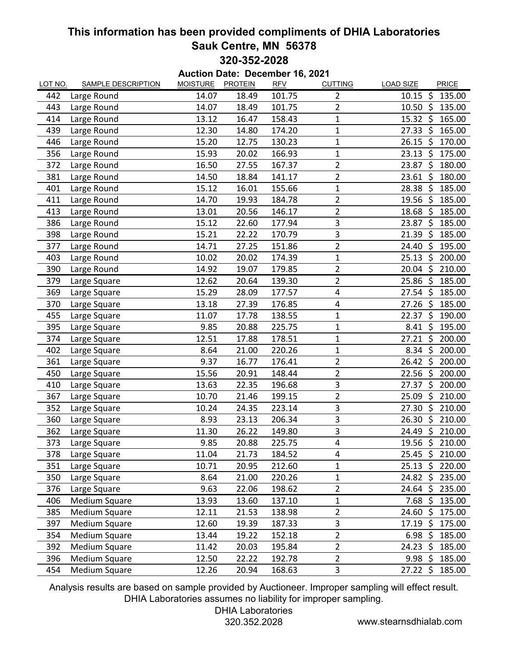## **This information has been provided compliments of DHIA Laboratories Sauk Centre, MN 56378 320-352-2028**

| Auction Date: December 16, 2021 |                           |                 |                |            |                         |                                   |  |  |
|---------------------------------|---------------------------|-----------------|----------------|------------|-------------------------|-----------------------------------|--|--|
| <b>LOT NO.</b>                  | <b>SAMPLE DESCRIPTION</b> | <b>MOISTURE</b> | <b>PROTEIN</b> | <b>RFV</b> | <b>CUTTING</b>          | <b>LOAD SIZE</b><br>PRICE         |  |  |
| 442                             | Large Round               | 14.07           | 18.49          | 101.75     | $\overline{2}$          | $\zeta$<br>135.00<br>10.15        |  |  |
| 443                             | Large Round               | 14.07           | 18.49          | 101.75     | $\overline{2}$          | 10.50<br>-\$<br>135.00            |  |  |
| 414                             | Large Round               | 13.12           | 16.47          | 158.43     | $\overline{1}$          | 15.32<br>- Ś<br>165.00            |  |  |
| 439                             | Large Round               | 12.30           | 14.80          | 174.20     | $\mathbf 1$             | 27.33<br>-\$<br>165.00            |  |  |
| 446                             | Large Round               | 15.20           | 12.75          | 130.23     | 1                       | Ŝ.<br>26.15<br>170.00             |  |  |
| 356                             | Large Round               | 15.93           | 20.02          | 166.93     | 1                       | 23.13<br>\$<br>175.00             |  |  |
| 372                             | Large Round               | 16.50           | 27.55          | 167.37     | $\overline{2}$          | 23.87<br>\$<br>180.00             |  |  |
| 381                             | Large Round               | 14.50           | 18.84          | 141.17     | $\overline{2}$          | 23.61<br>\$<br>180.00             |  |  |
| 401                             | Large Round               | 15.12           | 16.01          | 155.66     | $\mathbf 1$             | 185.00<br>28.38<br>-\$            |  |  |
| 411                             | Large Round               | 14.70           | 19.93          | 184.78     | 2                       | 19.56<br>-\$<br>185.00            |  |  |
| 413                             | Large Round               | 13.01           | 20.56          | 146.17     | $\overline{2}$          | 18.68<br>Ś<br>185.00              |  |  |
| 386                             | Large Round               | 15.12           | 22.60          | 177.94     | 3                       | 23.87<br>- \$<br>185.00           |  |  |
| 398                             | Large Round               | 15.21           | 22.22          | 170.79     | 3                       | 21.39<br>\$<br>185.00             |  |  |
| 377                             | Large Round               | 14.71           | 27.25          | 151.86     | $\overline{2}$          | 24.40<br>\$<br>195.00             |  |  |
| 403                             | Large Round               | 10.02           | 20.02          | 174.39     | 1                       | -\$<br>200.00<br>25.13            |  |  |
| 390                             | Large Round               | 14.92           | 19.07          | 179.85     | $\overline{2}$          | $\ddot{\zeta}$<br>20.04<br>210.00 |  |  |
| 379                             | Large Square              | 12.62           | 20.64          | 139.30     | $\overline{2}$          | 25.86<br>\$<br>185.00             |  |  |
| 369                             | Large Square              | 15.29           | 28.09          | 177.57     | 4                       | 27.54 \$<br>185.00                |  |  |
| 370                             | Large Square              | 13.18           | 27.39          | 176.85     | $\overline{4}$          | 27.26<br>\$<br>185.00             |  |  |
| 455                             | Large Square              | 11.07           | 17.78          | 138.55     | 1                       | 22.37<br>\$<br>190.00             |  |  |
| 395                             | Large Square              | 9.85            | 20.88          | 225.75     | $\mathbf 1$             | $\zeta$<br>195.00<br>8.41         |  |  |
| 374                             | Large Square              | 12.51           | 17.88          | 178.51     | $\mathbf 1$             | \$<br>27.21<br>200.00             |  |  |
| 402                             | Large Square              | 8.64            | 21.00          | 220.26     | $\mathbf 1$             | $8.34 \text{ }$<br>200.00         |  |  |
| 361                             | Large Square              | 9.37            | 16.77          | 176.41     | $\overline{2}$          | 26.42 \$<br>200.00                |  |  |
| 450                             | Large Square              | 15.56           | 20.91          | 148.44     | $\overline{2}$          | 22.56<br>\$<br>200.00             |  |  |
| 410                             | Large Square              | 13.63           | 22.35          | 196.68     | 3                       | \$<br>27.37<br>200.00             |  |  |
| 367                             | Large Square              | 10.70           | 21.46          | 199.15     | $\overline{2}$          | \$<br>25.09<br>210.00             |  |  |
| 352                             | Large Square              | 10.24           | 24.35          | 223.14     | 3                       | $\zeta$<br>27.30<br>210.00        |  |  |
| 360                             | Large Square              | 8.93            | 23.13          | 206.34     | 3                       | $\zeta$<br>26.30<br>210.00        |  |  |
| 362                             | Large Square              | 11.30           | 26.22          | 149.80     | 3                       | $\zeta$<br>24.49<br>210.00        |  |  |
| 373                             | Large Square              | 9.85            | 20.88          | 225.75     | 4                       | 19.56 \$<br>210.00                |  |  |
| 378                             | Large Square              | 11.04           | 21.73          | 184.52     | $\overline{\mathbf{4}}$ | 25.45 \$<br>210.00                |  |  |
| 351                             | Large Square              | 10.71           | 20.95          | 212.60     | 1                       | $25.13 \; \simeq$<br>220.00       |  |  |
| 350                             | Large Square              | 8.64            | 21.00          | 220.26     | 1                       | 24.82 \$<br>235.00                |  |  |
| 376                             | Large Square              | 9.63            | 22.06          | 198.62     | $\overline{\mathbf{c}}$ | $24.64$ \$<br>235.00              |  |  |
| 406                             | Medium Square             | 13.93           | 13.60          | 137.10     | 1                       | $7.68~\xi$<br>135.00              |  |  |
| 385                             | <b>Medium Square</b>      | 12.11           | 21.53          | 138.98     | $\overline{2}$          | $24.60~\text{S}$<br>175.00        |  |  |
| 397                             | Medium Square             | 12.60           | 19.39          | 187.33     | 3                       | 17.19 \$<br>175.00                |  |  |
| 354                             | Medium Square             | 13.44           | 19.22          | 152.18     | $\overline{2}$          | $6.98$ \$<br>185.00               |  |  |
| 392                             | Medium Square             | 11.42           | 20.03          | 195.84     | $\overline{2}$          | $24.23 \; \zeta$<br>185.00        |  |  |
| 396                             | Medium Square             | 12.50           | 22.22          | 192.78     | $\overline{2}$          | $9.98$ \$<br>185.00               |  |  |
| 454                             | Medium Square             | 12.26           | 20.94          | 168.63     | $\overline{3}$          | 27.22 \$<br>185.00                |  |  |

Analysis results are based on sample provided by Auctioneer. Improper sampling will effect result. DHIA Laboratories assumes no liability for improper sampling.

## DHIA Laboratories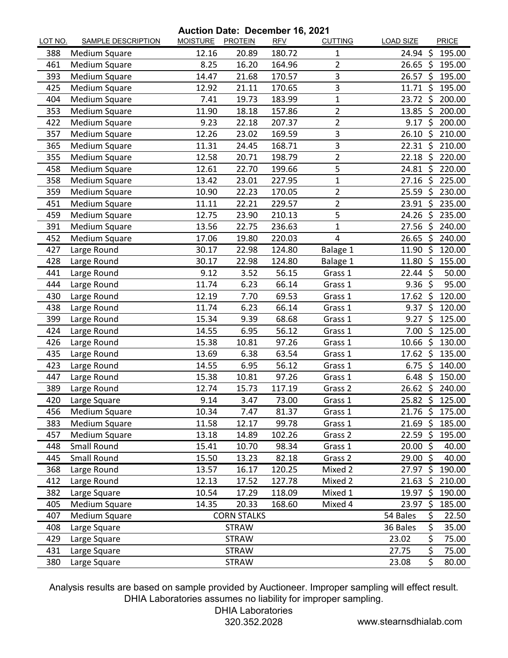**Auction Date: December 16, 2021**

| LOT NO. | <b>SAMPLE DESCRIPTION</b> | MOISTURE PROTEIN | $1011$ Date. Deceniber 19, 2021 | <b>RFV</b> | <b>CUTTING</b> | <b>LOAD SIZE</b>    |         | <b>PRICE</b> |
|---------|---------------------------|------------------|---------------------------------|------------|----------------|---------------------|---------|--------------|
| 388     | Medium Square             | 12.16            | 20.89                           | 180.72     | 1              | 24.94               | -S      | 195.00       |
| 461     | Medium Square             | 8.25             | 16.20                           | 164.96     | $\overline{2}$ | $26.65$ \$          |         | 195.00       |
| 393     | <b>Medium Square</b>      | 14.47            | 21.68                           | 170.57     | 3              | 26.57               | -\$     | 195.00       |
| 425     | Medium Square             | 12.92            | 21.11                           | 170.65     | 3              | 11.71               | -\$     | 195.00       |
| 404     | Medium Square             | 7.41             | 19.73                           | 183.99     | 1              | 23.72 \$            |         | 200.00       |
| 353     | Medium Square             | 11.90            | 18.18                           | 157.86     | $\overline{2}$ | 13.85               | \$      | 200.00       |
| 422     | Medium Square             | 9.23             | 22.18                           | 207.37     | $\overline{2}$ | 9.17                | - Ś     | 200.00       |
| 357     | Medium Square             | 12.26            | 23.02                           | 169.59     | 3              | 26.10               | -\$     | 210.00       |
| 365     | <b>Medium Square</b>      | 11.31            | 24.45                           | 168.71     | 3              | $22.31$ \$          |         | 210.00       |
| 355     | <b>Medium Square</b>      | 12.58            | 20.71                           | 198.79     | $\overline{c}$ | 22.18               | Ŝ.      | 220.00       |
| 458     | Medium Square             | 12.61            | 22.70                           | 199.66     | 5              | 24.81 \$            |         | 220.00       |
| 358     | Medium Square             | 13.42            | 23.01                           | 227.95     | 1              | 27.16               | $\zeta$ | 225.00       |
| 359     | Medium Square             | 10.90            | 22.23                           | 170.05     | $\overline{2}$ | 25.59               | \$      | 230.00       |
| 451     | Medium Square             | 11.11            | 22.21                           | 229.57     | $\overline{2}$ | 23.91 \$            |         | 235.00       |
| 459     | Medium Square             | 12.75            | 23.90                           | 210.13     | 5              | $24.26$ \$          |         | 235.00       |
| 391     | Medium Square             | 13.56            | 22.75                           | 236.63     | $\mathbf 1$    | 27.56               | -\$     | 240.00       |
| 452     | Medium Square             | 17.06            | 19.80                           | 220.03     | 4              | 26.65               | \$      | 240.00       |
| 427     | Large Round               | 30.17            | 22.98                           | 124.80     | Balage 1       | 11.90               | \$      | 120.00       |
| 428     | Large Round               | 30.17            | 22.98                           | 124.80     | Balage 1       | 11.80               | -\$     | 155.00       |
| 441     | Large Round               | 9.12             | 3.52                            | 56.15      | Grass 1        | $22.44 \;$ \$       |         | 50.00        |
| 444     | Large Round               | 11.74            | 6.23                            | 66.14      | Grass 1        | $9.36$ \$           |         | 95.00        |
| 430     | Large Round               | 12.19            | 7.70                            | 69.53      | Grass 1        | $17.62 \; \text{S}$ |         | 120.00       |
| 438     | Large Round               | 11.74            | 6.23                            | 66.14      | Grass 1        | 9.37                | \$      | 120.00       |
| 399     | Large Round               | 15.34            | 9.39                            | 68.68      | Grass 1        | 9.27                | \$      | 125.00       |
| 424     | Large Round               | 14.55            | 6.95                            | 56.12      | Grass 1        | $7.00$ \$           |         | 125.00       |
| 426     | Large Round               | 15.38            | 10.81                           | 97.26      | Grass 1        | 10.66               | -\$     | 130.00       |
| 435     | Large Round               | 13.69            | 6.38                            | 63.54      | Grass 1        | $17.62 \div$        |         | 135.00       |
| 423     | Large Round               | 14.55            | 6.95                            | 56.12      | Grass 1        | 6.75                | \$      | 140.00       |
| 447     | Large Round               | 15.38            | 10.81                           | 97.26      | Grass 1        | 6.48                | Ŝ.      | 150.00       |
| 389     | Large Round               | 12.74            | 15.73                           | 117.19     | Grass 2        | 26.62               | - \$    | 240.00       |
| 420     | Large Square              | 9.14             | 3.47                            | 73.00      | Grass 1        | $25.82$ \$          |         | 125.00       |
| 456     | Medium Square             | 10.34            | 7.47                            | 81.37      | Grass 1        | 21.76 \$            |         | 175.00       |
| 383     | Medium Square             | 11.58            | 12.17                           | 99.78      | Grass 1        | $21.69$ \$          |         | 185.00       |
| 457     | Medium Square             | 13.18            | 14.89                           | 102.26     | Grass 2        | $22.59$ \$          |         | 195.00       |
| 448     | <b>Small Round</b>        | 15.41            | 10.70                           | 98.34      | Grass 1        | 20.00               | - \$    | 40.00        |
| 445     | Small Round               | 15.50            | 13.23                           | 82.18      | Grass 2        | 29.00 \$            |         | 40.00        |
| 368     | Large Round               | 13.57            | 16.17                           | 120.25     | Mixed 2        | 27.97               | \$      | 190.00       |
| 412     | Large Round               | 12.13            | 17.52                           | 127.78     | Mixed 2        | 21.63               | \$      | 210.00       |
| 382     | Large Square              | 10.54            | 17.29                           | 118.09     | Mixed 1        | 19.97               | \$      | 190.00       |
| 405     | Medium Square             | 14.35            | 20.33                           | 168.60     | Mixed 4        | 23.97               | \$      | 185.00       |
| 407     | Medium Square             |                  | <b>CORN STALKS</b>              |            |                | 54 Bales            | \$      | 22.50        |
| 408     | Large Square              |                  | <b>STRAW</b>                    |            |                | 36 Bales            | \$      | 35.00        |
| 429     | Large Square              |                  | <b>STRAW</b>                    |            |                | 23.02               | \$      | 75.00        |
| 431     | Large Square              |                  | <b>STRAW</b>                    |            |                | 27.75               | \$      | 75.00        |
| 380     | Large Square              |                  | <b>STRAW</b>                    |            |                | 23.08               | \$      | 80.00        |

Analysis results are based on sample provided by Auctioneer. Improper sampling will effect result. DHIA Laboratories assumes no liability for improper sampling.

DHIA Laboratories

320.352.2028 www.stearnsdhialab.com